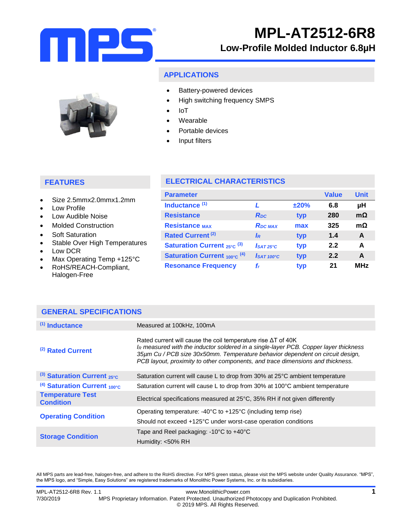

# **Low-Profile Molded Inductor 6.8µH**

### **APPLICATIONS**

- Battery-powered devices
	- High switching frequency SMPS
	- IoT
	- Wearable
	- Portable devices
	- Input filters

## **FEATURES**

- Size 2.5mmx2.0mmx1.2mm
- Low Profile
- Low Audible Noise
- Molded Construction
- Soft Saturation
- Stable Over High Temperatures
- Low DCR
- Max Operating Temp +125°C

**GENERAL SPECIFICATIONS**

 RoHS/REACH-Compliant, Halogen-Free

## **ELECTRICAL CHARACTERISTICS**

| <b>Parameter</b>                             |                        |      | <b>Value</b> | <b>Unit</b> |
|----------------------------------------------|------------------------|------|--------------|-------------|
| Inductance <sup>(1)</sup>                    |                        | ±20% | 6.8          | μH          |
| <b>Resistance</b>                            | R <sub>pc</sub>        | typ  | 280          | $m\Omega$   |
| <b>Resistance MAX</b>                        | <b>RDC MAX</b>         | max  | 325          | $m\Omega$   |
| Rated Current <sup>(2)</sup>                 | IR                     | typ  | 1.4          | A           |
| <b>Saturation Current</b> $_{25\degree}$ (3) | $IsAT25^\circ C$       | typ  | 2.2          | A           |
| <b>Saturation Current 100°C (4)</b>          | I <sub>SAT 100°C</sub> | typ  | 2.2          | A           |
| <b>Resonance Frequency</b>                   | f,                     | typ  | 21           | <b>MHz</b>  |

| $(1)$ Inductance                            | Measured at 100kHz, 100mA                                                                                                                                                                                                                                                                                                       |
|---------------------------------------------|---------------------------------------------------------------------------------------------------------------------------------------------------------------------------------------------------------------------------------------------------------------------------------------------------------------------------------|
| (2) Rated Current                           | Rated current will cause the coil temperature rise $\Delta T$ of 40K<br>IR measured with the inductor soldered in a single-layer PCB. Copper layer thickness<br>35um Cu / PCB size 30x50mm. Temperature behavior dependent on circuit design,<br>PCB layout, proximity to other components, and trace dimensions and thickness. |
| (3) Saturation Current $_{25^{\circ}C}$     | Saturation current will cause L to drop from 30% at 25°C ambient temperature                                                                                                                                                                                                                                                    |
| $(4)$ Saturation Current <sub>100°C</sub>   | Saturation current will cause L to drop from 30% at 100°C ambient temperature                                                                                                                                                                                                                                                   |
| <b>Temperature Test</b><br><b>Condition</b> | Electrical specifications measured at 25°C, 35% RH if not given differently                                                                                                                                                                                                                                                     |
| <b>Operating Condition</b>                  | Operating temperature: $-40^{\circ}$ C to $+125^{\circ}$ C (including temp rise)                                                                                                                                                                                                                                                |
|                                             | Should not exceed +125°C under worst-case operation conditions                                                                                                                                                                                                                                                                  |
| <b>Storage Condition</b>                    | Tape and Reel packaging: $-10^{\circ}$ C to $+40^{\circ}$ C                                                                                                                                                                                                                                                                     |
|                                             | Humidity: <50% RH                                                                                                                                                                                                                                                                                                               |

All MPS parts are lead-free, halogen-free, and adhere to the RoHS directive. For MPS green status, please visit the MPS website under Quality Assurance. "MPS", the MPS logo, and "Simple, Easy Solutions" are registered trademarks of Monolithic Power Systems, Inc. or its subsidiaries.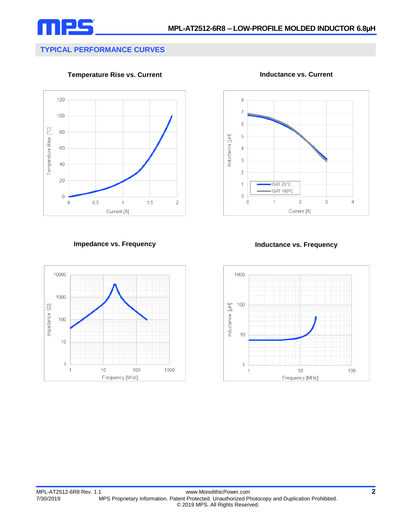

# **TYPICAL PERFORMANCE CURVES**

**Temperature Rise vs. Current**



**Inductance vs. Current**



### **Impedance vs. Frequency Inductance vs. Frequency**



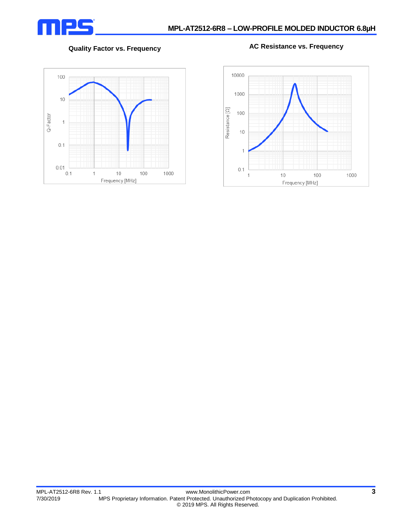

**Quality Factor vs. Frequency AC Resistance vs. Frequency**



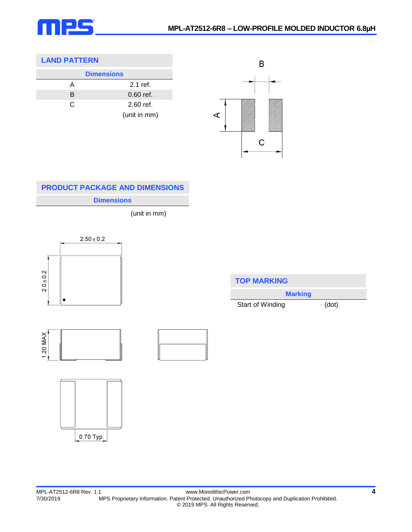

## **LAND PATTERN**

| <b>Dimensions</b> |              |  |
|-------------------|--------------|--|
| А                 | $2.1$ ref.   |  |
| B                 | $0.60$ ref.  |  |
| C                 | 2.60 ref.    |  |
|                   | (unit in mm) |  |



# **Dimensions PRODUCT PACKAGE AND DIMENSIONS**

(unit in mm)



| <b>TOP MARKING</b> |               |  |
|--------------------|---------------|--|
| <b>Marking</b>     |               |  |
| Start of Winding   | $\cdot$ (dot) |  |

1.20 MAX